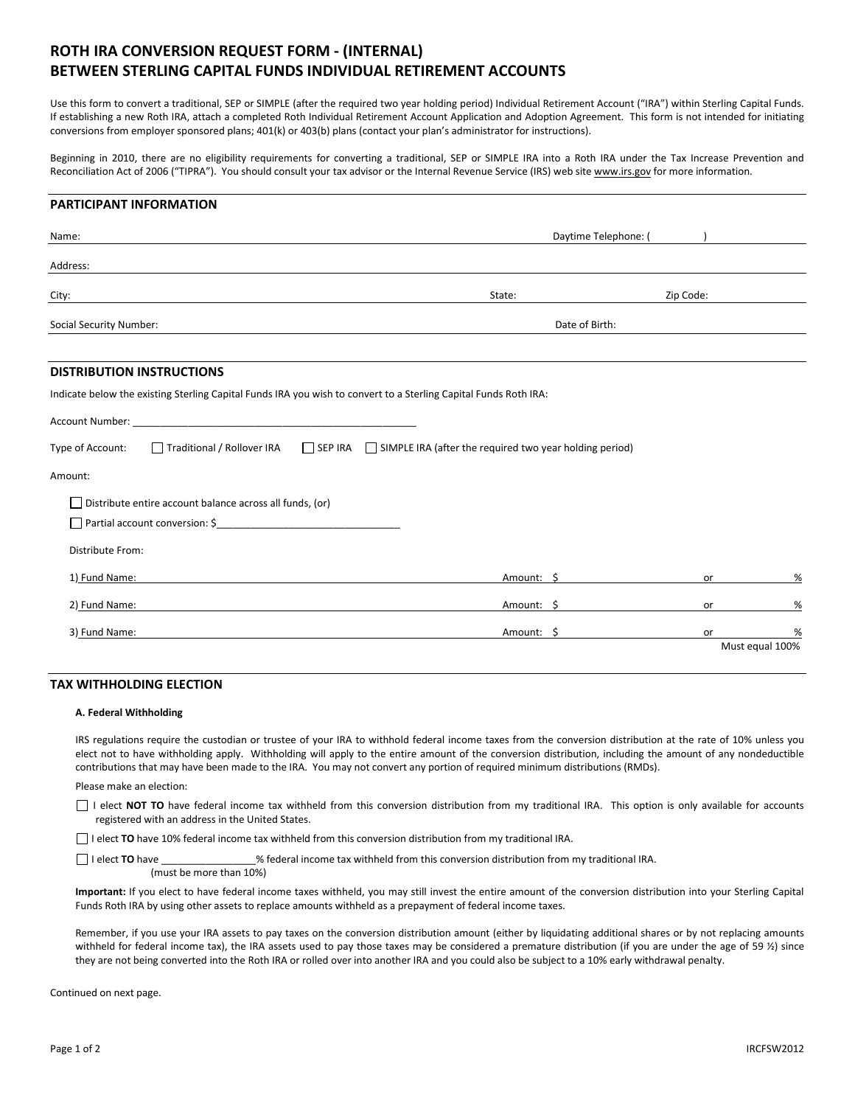# ROTH IRA CONVERSION REQUEST FORM - (INTERNAL) BETWEEN STERLING CAPITAL FUNDS INDIVIDUAL RETIREMENT ACCOUNTS

Use this form to convert a traditional, SEP or SIMPLE (after the required two year holding period) Individual Retirement Account ("IRA") within Sterling Capital Funds. If establishing a new Roth IRA, attach a completed Roth Individual Retirement Account Application and Adoption Agreement. This form is not intended for initiating conversions from employer sponsored plans; 401(k) or 403(b) plans (contact your plan's administrator for instructions).

Beginning in 2010, there are no eligibility requirements for converting a traditional, SEP or SIMPLE IRA into a Roth IRA under the Tax Increase Prevention and Reconciliation Act of 2006 ("TIPRA"). You should consult your tax advisor or the Internal Revenue Service (IRS) web site www.irs.gov for more information.

### PARTICIPANT INFORMATION

| Name:                                                                                                                                                                                                                         | Daytime Telephone: (                                                                                            |           |                 |
|-------------------------------------------------------------------------------------------------------------------------------------------------------------------------------------------------------------------------------|-----------------------------------------------------------------------------------------------------------------|-----------|-----------------|
| Address:                                                                                                                                                                                                                      |                                                                                                                 |           |                 |
| City:                                                                                                                                                                                                                         | State:                                                                                                          | Zip Code: |                 |
| Social Security Number:                                                                                                                                                                                                       | Date of Birth:                                                                                                  |           |                 |
| <b>DISTRIBUTION INSTRUCTIONS</b><br>Indicate below the existing Sterling Capital Funds IRA you wish to convert to a Sterling Capital Funds Roth IRA:                                                                          |                                                                                                                 |           |                 |
| Account Number: University of the Country of the Country of the Country of the Country of the Country of the Country of the Country of the Country of the Country of the Country of the Country of the Country of the Country |                                                                                                                 |           |                 |
| Type of Account:                                                                                                                                                                                                              | $\Box$ Traditional / Rollover IRA $\Box$ SEP IRA $\Box$ SIMPLE IRA (after the required two year holding period) |           |                 |
| Amount:                                                                                                                                                                                                                       |                                                                                                                 |           |                 |
| $\Box$ Distribute entire account balance across all funds, (or)                                                                                                                                                               |                                                                                                                 |           |                 |
|                                                                                                                                                                                                                               |                                                                                                                 |           |                 |
| Distribute From:                                                                                                                                                                                                              |                                                                                                                 |           |                 |
| 1) Fund Name:                                                                                                                                                                                                                 | Amount: \$                                                                                                      | or        | %               |
| 2) Fund Name:                                                                                                                                                                                                                 | Amount: \$                                                                                                      | or        | %               |
| 3) Fund Name:                                                                                                                                                                                                                 | Amount: \$                                                                                                      | or        | %               |
|                                                                                                                                                                                                                               |                                                                                                                 |           | Must equal 100% |

## TAX WITHHOLDING ELECTION

#### A. Federal Withholding

IRS regulations require the custodian or trustee of your IRA to withhold federal income taxes from the conversion distribution at the rate of 10% unless you elect not to have withholding apply. Withholding will apply to the entire amount of the conversion distribution, including the amount of any nondeductible contributions that may have been made to the IRA. You may not convert any portion of required minimum distributions (RMDs).

Please make an election:

I elect NOT TO have federal income tax withheld from this conversion distribution from my traditional IRA. This option is only available for accounts registered with an address in the United States.

 $\Box$  I elect TO have 10% federal income tax withheld from this conversion distribution from my traditional IRA.

 $\Box$  I elect TO have  $\Box$  is federal income tax withheld from this conversion distribution from my traditional IRA. (must be more than 10%)

Important: If you elect to have federal income taxes withheld, you may still invest the entire amount of the conversion distribution into your Sterling Capital Funds Roth IRA by using other assets to replace amounts withheld as a prepayment of federal income taxes.

Remember, if you use your IRA assets to pay taxes on the conversion distribution amount (either by liquidating additional shares or by not replacing amounts withheld for federal income tax), the IRA assets used to pay those taxes may be considered a premature distribution (if you are under the age of 59 %) since they are not being converted into the Roth IRA or rolled over into another IRA and you could also be subject to a 10% early withdrawal penalty.

Continued on next page.